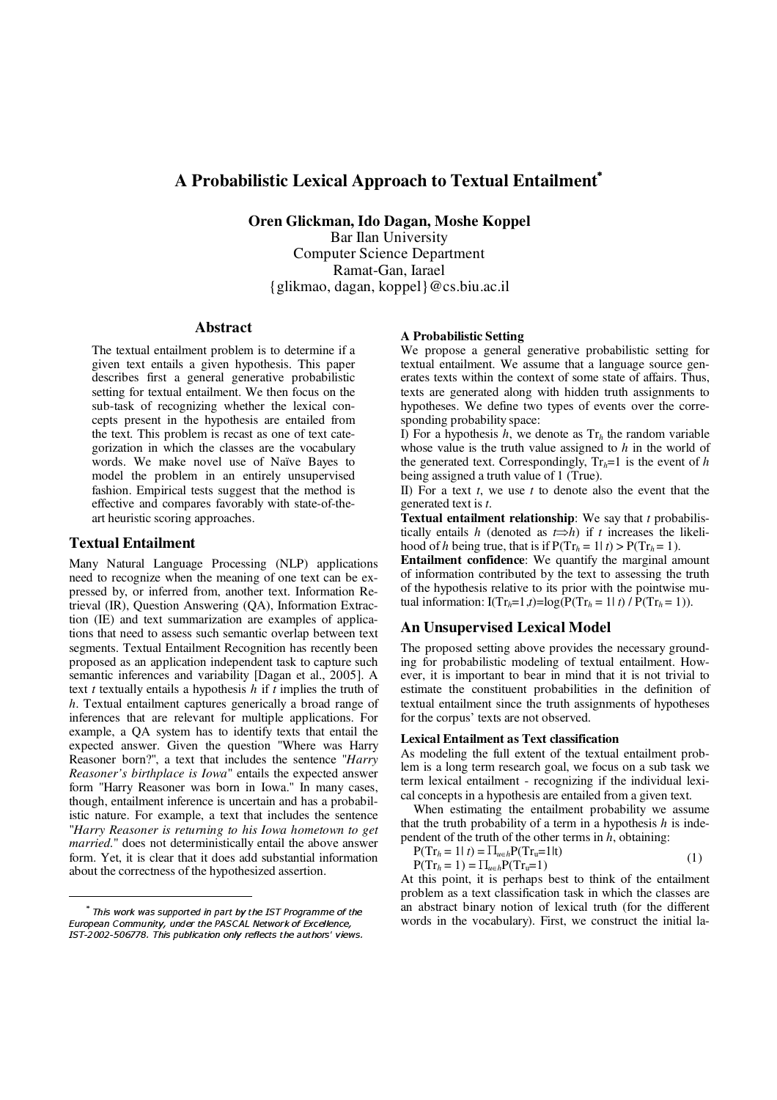# **A** Probabilistic Lexical Approach to Textual Entailment<sup>\*</sup>

**Oren Glickman, Ido Dagan, Moshe Koppel**

Bar Ilan University Computer Science Department Ramat-Gan, Iarael {glikmao, dagan, koppel}@cs.biu.ac.il

## **Abstract**

The textual entailment problem is to determine if a given text entails a given hypothesis. This paper describes first a general generative probabilistic setting for textual entailment. We then focus on the sub-task of recognizing whether the lexical concepts present in the hypothesis are entailed from the text. This problem is recast as one of text categorization in which the classes are the vocabulary words. We make novel use of Naïve Bayes to model the problem in an entirely unsupervised fashion. Empirical tests suggest that the method is effective and compares favorably with state-of-theart heuristic scoring approaches.

## **Textual Entailment**

Many Natural Language Processing (NLP) applications need to recognize when the meaning of one text can be expressed by, or inferred from, another text. Information Retrieval (IR), Question Answering (QA), Information Extraction (IE) and text summarization are examples of applications that need to assess such semantic overlap between text segments. Textual Entailment Recognition has recently been proposed as an application independent task to capture such semantic inferences and variability [Dagan et al., 2005]. A text *t* textually entails a hypothesis *h* if *t* implies the truth of *h*. Textual entailment captures generically a broad range of inferences that are relevant for multiple applications. For example, a QA system has to identify texts that entail the expected answer. Given the question "Where was Harry Reasoner born?", a text that includes the sentence "*Harry Reasoner's birthplace is Iowa*" entails the expected answer form "Harry Reasoner was born in Iowa." In many cases, though, entailment inference is uncertain and has a probabilistic nature. For example, a text that includes the sentence "*Harry Reasoner is returning to his Iowa hometown to get married.*" does not deterministically entail the above answer form. Yet, it is clear that it does add substantial information about the correctness of the hypothesized assertion.

### **A Probabilistic Setting**

We propose a general generative probabilistic setting for textual entailment. We assume that a language source generates texts within the context of some state of affairs. Thus, texts are generated along with hidden truth assignments to hypotheses. We define two types of events over the corresponding probability space:

I) For a hypothesis  $h$ , we denote as  $Tr<sub>h</sub>$  the random variable whose value is the truth value assigned to *h* in the world of the generated text. Correspondingly,  $Tr_h=1$  is the event of *h* being assigned a truth value of 1 (True).

II) For a text *t*, we use *t* to denote also the event that the generated text is *t*.

**Textual entailment relationship**: We say that *t* probabilistically entails *h* (denoted as  $t \Rightarrow h$ ) if *t* increases the likelihood of *h* being true, that is if  $P(Tr_h = 1 | t) > P(Tr_h = 1)$ .

**Entailment confidence**: We quantify the marginal amount of information contributed by the text to assessing the truth of the hypothesis relative to its prior with the pointwise mutual information:  $I(Tr_h=1,t)=log(P(Tr_h=1|t)/P(Tr_h=1)).$ 

## **An Unsupervised Lexical Model**

The proposed setting above provides the necessary grounding for probabilistic modeling of textual entailment. However, it is important to bear in mind that it is not trivial to estimate the constituent probabilities in the definition of textual entailment since the truth assignments of hypotheses for the corpus' texts are not observed.

## **Lexical Entailment as Text classification**

As modeling the full extent of the textual entailment problem is a long term research goal, we focus on a sub task we term lexical entailment - recognizing if the individual lexical concepts in a hypothesis are entailed from a given text.

When estimating the entailment probability we assume that the truth probability of a term in a hypothesis *h* is independent of the truth of the other terms in *h*, obtaining:

$$
P(Tr_h = 1 | t) = \prod_{u \in h} P(Tr_u = 1 | t)
$$
  
 
$$
P(Tr_h = 1) = \prod_{u \in h} P(Tr_u = 1)
$$
 (1)

At this point, it is perhaps best to think of the entailment problem as a text classification task in which the classes are an abstract binary notion of lexical truth (for the different words in the vocabulary). First, we construct the initial la-

 $^\ast$  This work was supported in part by the IST Programme of the  $^{\rm 2}$ European Community, under the PASCAL Network of Excellence,  $\,$ IST-2002-506778. This publication only reflects the authors' views.  $\,$